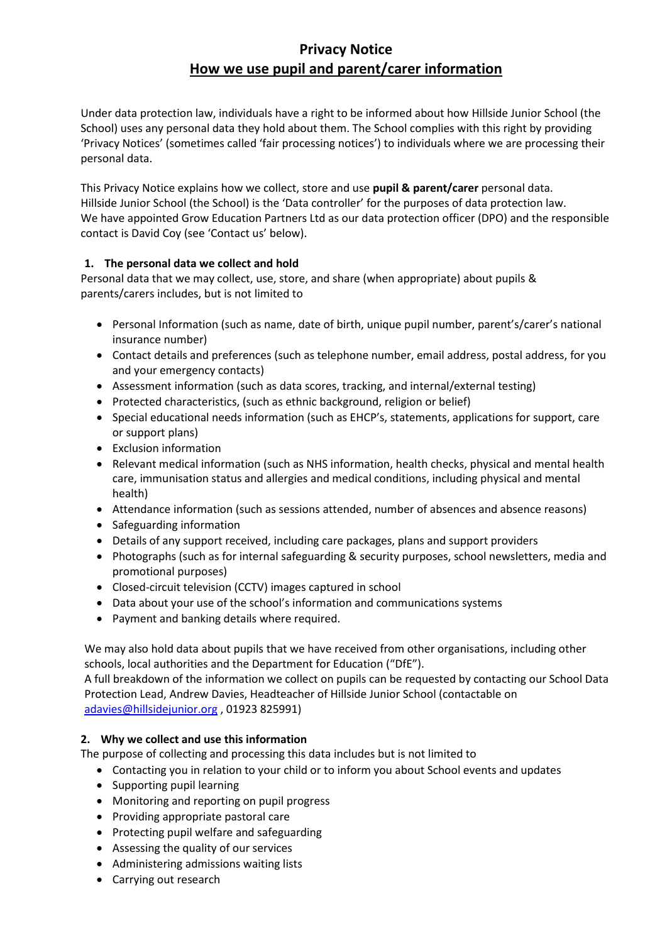# **Privacy Notice How we use pupil and parent/carer information**

Under data protection law, individuals have a right to be informed about how Hillside Junior School (the School) uses any personal data they hold about them. The School complies with this right by providing 'Privacy Notices' (sometimes called 'fair processing notices') to individuals where we are processing their personal data.

This Privacy Notice explains how we collect, store and use **pupil & parent/carer** personal data. Hillside Junior School (the School) is the 'Data controller' for the purposes of data protection law. We have appointed Grow Education Partners Ltd as our data protection officer (DPO) and the responsible contact is David Coy (see 'Contact us' below).

# **1. The personal data we collect and hold**

Personal data that we may collect, use, store, and share (when appropriate) about pupils & parents/carers includes, but is not limited to

- Personal Information (such as name, date of birth, unique pupil number, parent's/carer's national insurance number)
- Contact details and preferences (such as telephone number, email address, postal address, for you and your emergency contacts)
- Assessment information (such as data scores, tracking, and internal/external testing)
- Protected characteristics, (such as ethnic background, religion or belief)
- Special educational needs information (such as EHCP's, statements, applications for support, care or support plans)
- Exclusion information
- Relevant medical information (such as NHS information, health checks, physical and mental health care, immunisation status and allergies and medical conditions, including physical and mental health)
- Attendance information (such as sessions attended, number of absences and absence reasons)
- Safeguarding information
- Details of any support received, including care packages, plans and support providers
- Photographs (such as for internal safeguarding & security purposes, school newsletters, media and promotional purposes)
- Closed-circuit television (CCTV) images captured in school
- Data about your use of the school's information and communications systems
- Payment and banking details where required.

We may also hold data about pupils that we have received from other organisations, including other schools, local authorities and the Department for Education ("DfE").

A full breakdown of the information we collect on pupils can be requested by contacting our School Data Protection Lead, Andrew Davies, Headteacher of Hillside Junior School (contactable on [adavies@hillsidejunior.org](mailto:office@hillsidejunior.org) , 01923 825991)

## **2. Why we collect and use this information**

The purpose of collecting and processing this data includes but is not limited to

- Contacting you in relation to your child or to inform you about School events and updates
- Supporting pupil learning
- Monitoring and reporting on pupil progress
- Providing appropriate pastoral care
- Protecting pupil welfare and safeguarding
- Assessing the quality of our services
- Administering admissions waiting lists
- Carrying out research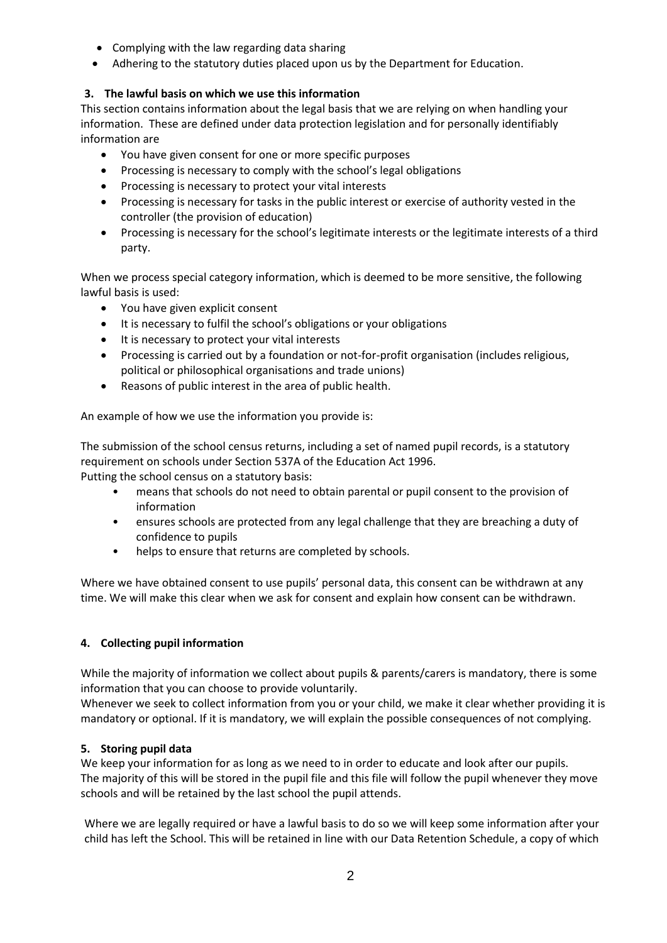- Complying with the law regarding data sharing
- Adhering to the statutory duties placed upon us by the Department for Education.

# **3. The lawful basis on which we use this information**

This section contains information about the legal basis that we are relying on when handling your information. These are defined under data protection legislation and for personally identifiably information are

- You have given consent for one or more specific purposes
- Processing is necessary to comply with the school's legal obligations
- Processing is necessary to protect your vital interests
- Processing is necessary for tasks in the public interest or exercise of authority vested in the controller (the provision of education)
- Processing is necessary for the school's legitimate interests or the legitimate interests of a third party.

When we process special category information, which is deemed to be more sensitive, the following lawful basis is used:

- You have given explicit consent
- It is necessary to fulfil the school's obligations or your obligations
- It is necessary to protect your vital interests
- Processing is carried out by a foundation or not-for-profit organisation (includes religious, political or philosophical organisations and trade unions)
- Reasons of public interest in the area of public health.

An example of how we use the information you provide is:

The submission of the school census returns, including a set of named pupil records, is a statutory requirement on schools under Section 537A of the Education Act 1996.

Putting the school census on a statutory basis:

- means that schools do not need to obtain parental or pupil consent to the provision of information
- ensures schools are protected from any legal challenge that they are breaching a duty of confidence to pupils
- helps to ensure that returns are completed by schools.

Where we have obtained consent to use pupils' personal data, this consent can be withdrawn at any time. We will make this clear when we ask for consent and explain how consent can be withdrawn.

## **4. Collecting pupil information**

While the majority of information we collect about pupils & parents/carers is mandatory, there is some information that you can choose to provide voluntarily.

Whenever we seek to collect information from you or your child, we make it clear whether providing it is mandatory or optional. If it is mandatory, we will explain the possible consequences of not complying.

## **5. Storing pupil data**

We keep your information for as long as we need to in order to educate and look after our pupils. The majority of this will be stored in the pupil file and this file will follow the pupil whenever they move schools and will be retained by the last school the pupil attends.

Where we are legally required or have a lawful basis to do so we will keep some information after your child has left the School. This will be retained in line with our Data Retention Schedule, a copy of which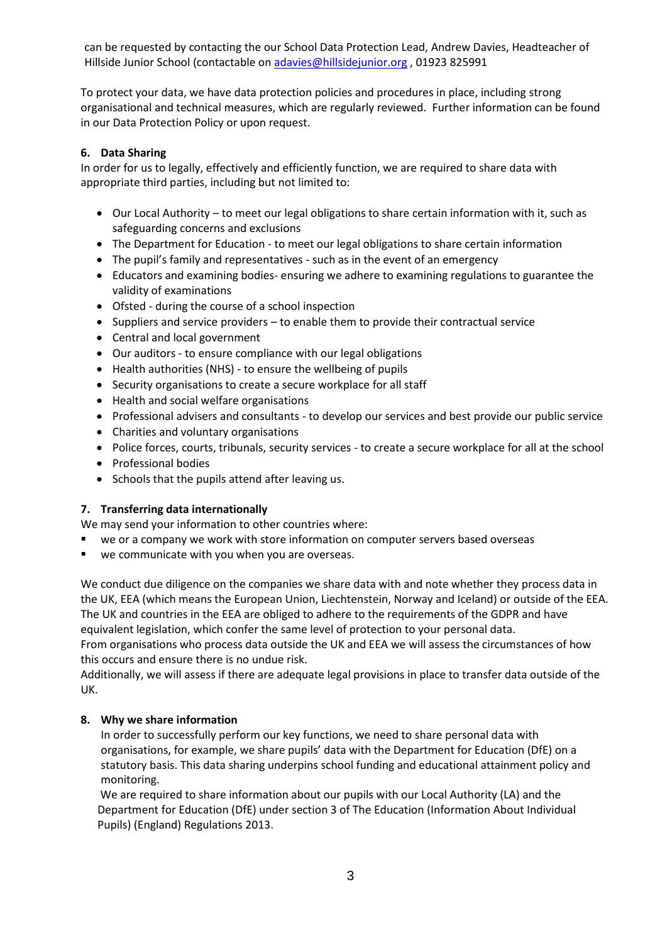can be requested by contacting the our School Data Protection Lead, Andrew Davies, Headteacher of Hillside Junior School (contactable o[n adavies@hillsidejunior.org](mailto:office@hillsidejunior.org) , 01923 825991

To protect your data, we have data protection policies and procedures in place, including strong organisational and technical measures, which are regularly reviewed. Further information can be found in our Data Protection Policy or upon request.

#### **6. Data Sharing**

In order for us to legally, effectively and efficiently function, we are required to share data with appropriate third parties, including but not limited to:

- Our Local Authority to meet our legal obligations to share certain information with it, such as safeguarding concerns and exclusions
- The Department for Education to meet our legal obligations to share certain information
- The pupil's family and representatives such as in the event of an emergency
- Educators and examining bodies- ensuring we adhere to examining regulations to guarantee the validity of examinations
- Ofsted during the course of a school inspection
- Suppliers and service providers to enable them to provide their contractual service
- Central and local government
- Our auditors to ensure compliance with our legal obligations
- Health authorities (NHS) to ensure the wellbeing of pupils
- Security organisations to create a secure workplace for all staff
- Health and social welfare organisations
- Professional advisers and consultants to develop our services and best provide our public service
- Charities and voluntary organisations
- Police forces, courts, tribunals, security services to create a secure workplace for all at the school
- Professional bodies
- Schools that the pupils attend after leaving us.

## **7. Transferring data internationally**

We may send your information to other countries where:

- we or a company we work with store information on computer servers based overseas
- we communicate with you when you are overseas.

We conduct due diligence on the companies we share data with and note whether they process data in the UK, EEA (which means the European Union, Liechtenstein, Norway and Iceland) or outside of the EEA. The UK and countries in the EEA are obliged to adhere to the requirements of the GDPR and have equivalent legislation, which confer the same level of protection to your personal data. From organisations who process data outside the UK and EEA we will assess the circumstances of how this occurs and ensure there is no undue risk.

Additionally, we will assess if there are adequate legal provisions in place to transfer data outside of the UK.

## **8. Why we share information**

In order to successfully perform our key functions, we need to share personal data with organisations, for example, we share pupils' data with the Department for Education (DfE) on a statutory basis. This data sharing underpins school funding and educational attainment policy and monitoring.

We are required to share information about our pupils with our Local Authority (LA) and the Department for Education (DfE) under section 3 of The Education (Information About Individual Pupils) (England) Regulations 2013.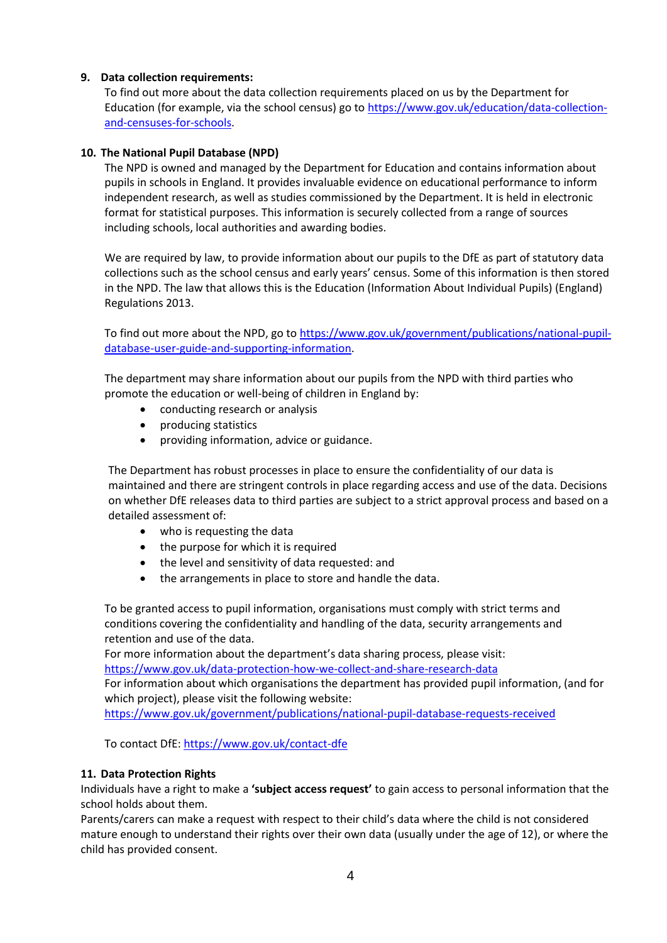## **9. Data collection requirements:**

To find out more about the data collection requirements placed on us by the Department for Education (for example, via the school census) go to [https://www.gov.uk/education/data-collection](https://www.gov.uk/education/data-collection-and-censuses-for-schools)[and-censuses-for-schools.](https://www.gov.uk/education/data-collection-and-censuses-for-schools)

## **10. The National Pupil Database (NPD)**

The NPD is owned and managed by the Department for Education and contains information about pupils in schools in England. It provides invaluable evidence on educational performance to inform independent research, as well as studies commissioned by the Department. It is held in electronic format for statistical purposes. This information is securely collected from a range of sources including schools, local authorities and awarding bodies.

We are required by law, to provide information about our pupils to the DfE as part of statutory data collections such as the school census and early years' census. Some of this information is then stored in the NPD. The law that allows this is the Education (Information About Individual Pupils) (England) Regulations 2013.

To find out more about the NPD, go t[o https://www.gov.uk/government/publications/national-pupil](https://www.gov.uk/government/publications/national-pupil-database-user-guide-and-supporting-information)[database-user-guide-and-supporting-information.](https://www.gov.uk/government/publications/national-pupil-database-user-guide-and-supporting-information)

The department may share information about our pupils from the NPD with third parties who promote the education or well-being of children in England by:

- conducting research or analysis
- producing statistics
- providing information, advice or guidance.

The Department has robust processes in place to ensure the confidentiality of our data is maintained and there are stringent controls in place regarding access and use of the data. Decisions on whether DfE releases data to third parties are subject to a strict approval process and based on a detailed assessment of:

- who is requesting the data
- the purpose for which it is required
- the level and sensitivity of data requested: and
- the arrangements in place to store and handle the data.

To be granted access to pupil information, organisations must comply with strict terms and conditions covering the confidentiality and handling of the data, security arrangements and retention and use of the data.

For more information about the department's data sharing process, please visit: <https://www.gov.uk/data-protection-how-we-collect-and-share-research-data>

For information about which organisations the department has provided pupil information, (and for which project), please visit the following website:

<https://www.gov.uk/government/publications/national-pupil-database-requests-received>

To contact DfE:<https://www.gov.uk/contact-dfe>

## **11. Data Protection Rights**

Individuals have a right to make a **'subject access request'** to gain access to personal information that the school holds about them.

Parents/carers can make a request with respect to their child's data where the child is not considered mature enough to understand their rights over their own data (usually under the age of 12), or where the child has provided consent.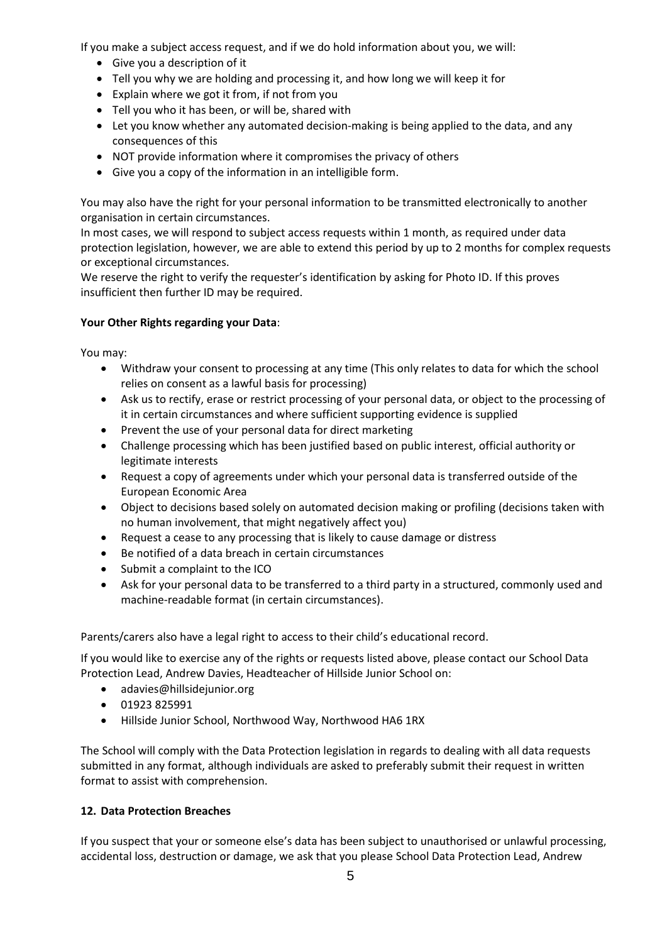If you make a subject access request, and if we do hold information about you, we will:

- Give you a description of it
- Tell you why we are holding and processing it, and how long we will keep it for
- Explain where we got it from, if not from you
- Tell you who it has been, or will be, shared with
- Let you know whether any automated decision-making is being applied to the data, and any consequences of this
- NOT provide information where it compromises the privacy of others
- Give you a copy of the information in an intelligible form.

You may also have the right for your personal information to be transmitted electronically to another organisation in certain circumstances.

In most cases, we will respond to subject access requests within 1 month, as required under data protection legislation, however, we are able to extend this period by up to 2 months for complex requests or exceptional circumstances.

We reserve the right to verify the requester's identification by asking for Photo ID. If this proves insufficient then further ID may be required.

## **Your Other Rights regarding your Data**:

You may:

- Withdraw your consent to processing at any time (This only relates to data for which the school relies on consent as a lawful basis for processing)
- Ask us to rectify, erase or restrict processing of your personal data, or object to the processing of it in certain circumstances and where sufficient supporting evidence is supplied
- Prevent the use of your personal data for direct marketing
- Challenge processing which has been justified based on public interest, official authority or legitimate interests
- Request a copy of agreements under which your personal data is transferred outside of the European Economic Area
- Object to decisions based solely on automated decision making or profiling (decisions taken with no human involvement, that might negatively affect you)
- Request a cease to any processing that is likely to cause damage or distress
- Be notified of a data breach in certain circumstances
- Submit a complaint to the ICO
- Ask for your personal data to be transferred to a third party in a structured, commonly used and machine-readable format (in certain circumstances).

Parents/carers also have a legal right to access to their child's educational record.

If you would like to exercise any of the rights or requests listed above, please contact our School Data Protection Lead, Andrew Davies, Headteacher of Hillside Junior School on:

- adavies@hillsidejunior.org
- 01923 825991
- Hillside Junior School, Northwood Way, Northwood HA6 1RX

The School will comply with the Data Protection legislation in regards to dealing with all data requests submitted in any format, although individuals are asked to preferably submit their request in written format to assist with comprehension.

## **12. Data Protection Breaches**

If you suspect that your or someone else's data has been subject to unauthorised or unlawful processing, accidental loss, destruction or damage, we ask that you please School Data Protection Lead, Andrew